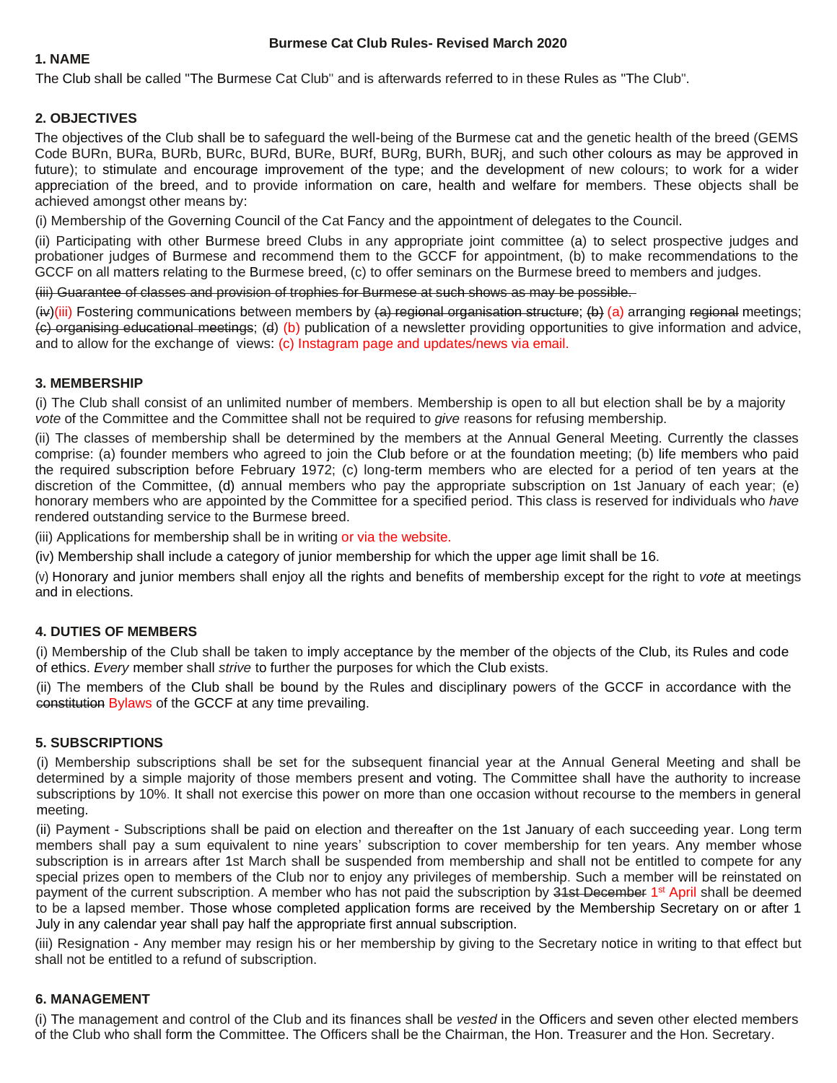### **1. NAME**

The Club shall be called "The Burmese Cat Club" and is afterwards referred to in these Rules as "The Club".

# **2. OBJECTIVES**

The objectives of the Club shall be to safeguard the well-being of the Burmese cat and the genetic health of the breed (GEMS Code BURn, BURa, BURb, BURc, BURd, BURe, BURf, BURg, BURh, BURj, and such other colours as may be approved in future); to stimulate and encourage improvement of the type; and the development of new colours; to work for a wider appreciation of the breed, and to provide information on care, health and welfare for members. These objects shall be achieved amongst other means by:

(i) Membership of the Governing Council of the Cat Fancy and the appointment of delegates to the Council.

(ii) Participating with other Burmese breed Clubs in any appropriate joint committee (a) to select prospective judges and probationer judges of Burmese and recommend them to the GCCF for appointment, (b) to make recommendations to the GCCF on all matters relating to the Burmese breed, (c) to offer seminars on the Burmese breed to members and judges.

(iii) Guarantee of classes and provision of trophies for Burmese at such shows as may be possible.

 $(i\psi)(iii)$  Fostering communications between members by  $(a)$  regional organisation structure;  $(b)$  (a) arranging regional meetings; (c) organising educational meetings; (d) (b) publication of a newsletter providing opportunities to give information and advice, and to allow for the exchange of views: (c) Instagram page and updates/news via email.

# **3. MEMBERSHIP**

(i) The Club shall consist of an unlimited number of members. Membership is open to all but election shall be by a majority *vote* of the Committee and the Committee shall not be required to *give* reasons for refusing membership.

(ii) The classes of membership shall be determined by the members at the Annual General Meeting. Currently the classes comprise: (a) founder members who agreed to join the Club before or at the foundation meeting; (b) life members who paid the required subscription before February 1972; (c) long-term members who are elected for a period of ten years at the discretion of the Committee, (d) annual members who pay the appropriate subscription on 1st January of each year; (e) honorary members who are appointed by the Committee for a specified period. This class is reserved for individuals who *have*  rendered outstanding service to the Burmese breed.

(iii) Applications for membership shall be in writing or via the website.

(iv) Membership shall include a category of junior membership for which the upper age limit shall be 16.

(v) Honorary and junior members shall enjoy all the rights and benefits of membership except for the right to *vote* at meetings and in elections.

# **4. DUTIES OF MEMBERS**

(i) Membership of the Club shall be taken to imply acceptance by the member of the objects of the Club, its Rules and code of ethics. *Every* member shall *strive* to further the purposes for which the Club exists.

(ii) The members of the Club shall be bound by the Rules and disciplinary powers of the GCCF in accordance with the constitution Bylaws of the GCCF at any time prevailing.

# **5. SUBSCRIPTIONS**

(i) Membership subscriptions shall be set for the subsequent financial year at the Annual General Meeting and shall be determined by a simple majority of those members present and voting. The Committee shall have the authority to increase subscriptions by 10%. It shall not exercise this power on more than one occasion without recourse to the members in general meeting.

(ii) Payment - Subscriptions shall be paid on election and thereafter on the 1st January of each succeeding year. Long term members shall pay a sum equivalent to nine years' subscription to cover membership for ten years. Any member whose subscription is in arrears after 1st March shall be suspended from membership and shall not be entitled to compete for any special prizes open to members of the Club nor to enjoy any privileges of membership. Such a member will be reinstated on payment of the current subscription. A member who has not paid the subscription by 31st December 1<sup>st</sup> April shall be deemed to be a lapsed member. Those whose completed application forms are received by the Membership Secretary on or after 1 July in any calendar year shall pay half the appropriate first annual subscription.

(iii) Resignation - Any member may resign his or her membership by giving to the Secretary notice in writing to that effect but shall not be entitled to a refund of subscription.

# **6. MANAGEMENT**

(i) The management and control of the Club and its finances shall be *vested* in the Officers and seven other elected members of the Club who shall form the Committee. The Officers shall be the Chairman, the Hon. Treasurer and the Hon. Secretary.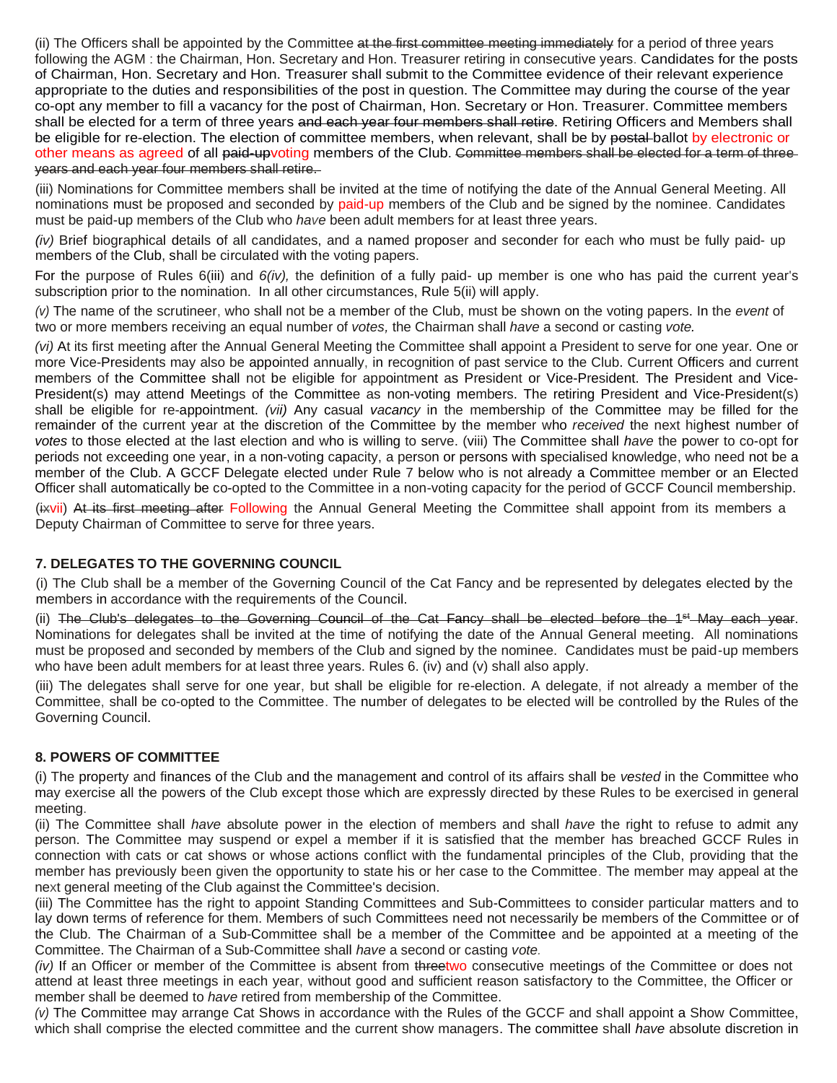(ii) The Officers shall be appointed by the Committee at the first committee meeting immediately for a period of three years following the AGM : the Chairman, Hon. Secretary and Hon. Treasurer retiring in consecutive years. Candidates for the posts of Chairman, Hon. Secretary and Hon. Treasurer shall submit to the Committee evidence of their relevant experience appropriate to the duties and responsibilities of the post in question. The Committee may during the course of the year co-opt any member to fill a vacancy for the post of Chairman, Hon. Secretary or Hon. Treasurer. Committee members shall be elected for a term of three years and each year four members shall retire. Retiring Officers and Members shall be eligible for re-election. The election of committee members, when relevant, shall be by postal-ballot by electronic or other means as agreed of all paid-upvoting members of the Club. Committee members shall be elected for a term of three years and each year four members shall retire.

(iii) Nominations for Committee members shall be invited at the time of notifying the date of the Annual General Meeting. All nominations must be proposed and seconded by paid-up members of the Club and be signed by the nominee. Candidates must be paid-up members of the Club who *have* been adult members for at least three years.

*(iv)* Brief biographical details of all candidates, and a named proposer and seconder for each who must be fully paid- up members of the Club, shall be circulated with the voting papers.

For the purpose of Rules 6(iii) and *6(iv),* the definition of a fully paid- up member is one who has paid the current year's subscription prior to the nomination. In all other circumstances, Rule 5(ii) will apply.

*(v)* The name of the scrutineer, who shall not be a member of the Club, must be shown on the voting papers. In the *event* of two or more members receiving an equal number of *votes,* the Chairman shall *have* a second or casting *vote.* 

*(vi)* At its first meeting after the Annual General Meeting the Committee shall appoint a President to serve for one year. One or more Vice-Presidents may also be appointed annually, in recognition of past service to the Club. Current Officers and current members of the Committee shall not be eligible for appointment as President or Vice-President. The President and Vice-President(s) may attend Meetings of the Committee as non-voting members. The retiring President and Vice-President(s) shall be eligible for re-appointment. *(vii)* Any casual *vacancy* in the membership of the Committee may be filled for the remainder of the current year at the discretion of the Committee by the member who *received* the next highest number of *votes* to those elected at the last election and who is willing to serve. (viii) The Committee shall *have* the power to co-opt for periods not exceeding one year, in a non-voting capacity, a person or persons with specialised knowledge, who need not be a member of the Club. A GCCF Delegate elected under Rule 7 below who is not already a Committee member or an Elected Officer shall automatically be co-opted to the Committee in a non-voting capacity for the period of GCCF Council membership.

(ixvii) At its first meeting after Following the Annual General Meeting the Committee shall appoint from its members a Deputy Chairman of Committee to serve for three years.

# **7. DELEGATES TO THE GOVERNING COUNCIL**

(i) The Club shall be a member of the Governing Council of the Cat Fancy and be represented by delegates elected by the members in accordance with the requirements of the Council.

(ii) The Club's delegates to the Governing Council of the Cat Fancy shall be elected before the 1<sup>st</sup> May each year. Nominations for delegates shall be invited at the time of notifying the date of the Annual General meeting. All nominations must be proposed and seconded by members of the Club and signed by the nominee. Candidates must be paid-up members who have been adult members for at least three years. Rules 6. (iv) and (v) shall also apply.

(iii) The delegates shall serve for one year, but shall be eligible for re-election. A delegate, if not already a member of the Committee, shall be co-opted to the Committee. The number of delegates to be elected will be controlled by the Rules of the Governing Council.

#### **8. POWERS OF COMMITTEE**

(i) The property and finances of the Club and the management and control of its affairs shall be *vested* in the Committee who may exercise all the powers of the Club except those which are expressly directed by these Rules to be exercised in general meeting.

(ii) The Committee shall *have* absolute power in the election of members and shall *have* the right to refuse to admit any person. The Committee may suspend or expel a member if it is satisfied that the member has breached GCCF Rules in connection with cats or cat shows or whose actions conflict with the fundamental principles of the Club, providing that the member has previously been given the opportunity to state his or her case to the Committee. The member may appeal at the next general meeting of the Club against the Committee's decision.

(iii) The Committee has the right to appoint Standing Committees and Sub-Committees to consider particular matters and to lay down terms of reference for them. Members of such Committees need not necessarily be members of the Committee or of the Club. The Chairman of a Sub-Committee shall be a member of the Committee and be appointed at a meeting of the Committee. The Chairman of a Sub-Committee shall *have* a second or casting *vote.* 

*(iv)* If an Officer or member of the Committee is absent from threetwo consecutive meetings of the Committee or does not attend at least three meetings in each year, without good and sufficient reason satisfactory to the Committee, the Officer or member shall be deemed to *have* retired from membership of the Committee.

*(v)* The Committee may arrange Cat Shows in accordance with the Rules of the GCCF and shall appoint a Show Committee, which shall comprise the elected committee and the current show managers. The committee shall *have* absolute discretion in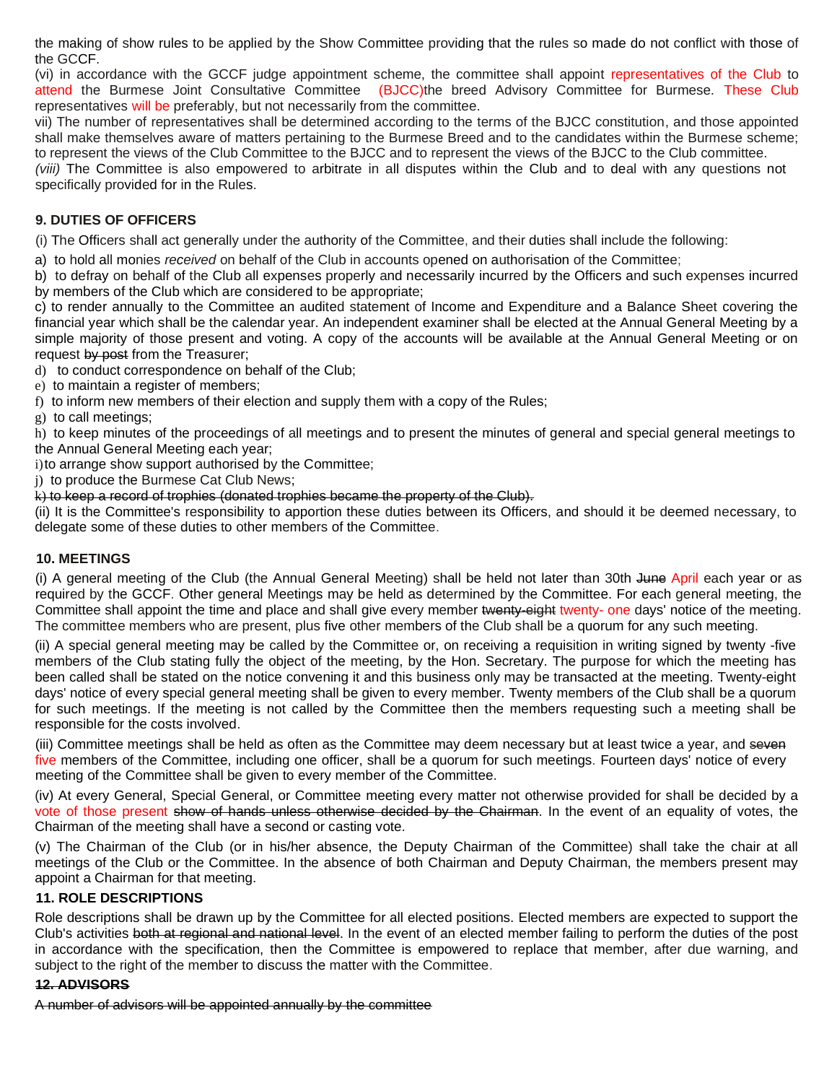the making of show rules to be applied by the Show Committee providing that the rules so made do not conflict with those of the GCCF.

(vi) in accordance with the GCCF judge appointment scheme, the committee shall appoint representatives of the Club to attend the Burmese Joint Consultative Committee (BJCC)the breed Advisory Committee for Burmese. These Club representatives will be preferably, but not necessarily from the committee.

vii) The number of representatives shall be determined according to the terms of the BJCC constitution, and those appointed shall make themselves aware of matters pertaining to the Burmese Breed and to the candidates within the Burmese scheme; to represent the views of the Club Committee to the BJCC and to represent the views of the BJCC to the Club committee.

*(viii)* The Committee is also empowered to arbitrate in all disputes within the Club and to deal with any questions not specifically provided for in the Rules.

# **9. DUTIES OF OFFICERS**

(i) The Officers shall act generally under the authority of the Committee, and their duties shall include the following:

a) to hold all monies *received* on behalf of the Club in accounts opened on authorisation of the Committee;

b) to defray on behalf of the Club all expenses properly and necessarily incurred by the Officers and such expenses incurred by members of the Club which are considered to be appropriate;

c) to render annually to the Committee an audited statement of Income and Expenditure and a Balance Sheet covering the financial year which shall be the calendar year. An independent examiner shall be elected at the Annual General Meeting by a simple majority of those present and voting. A copy of the accounts will be available at the Annual General Meeting or on request by post from the Treasurer;

d) to conduct correspondence on behalf of the Club;

e) to maintain a register of members;

f) to inform new members of their election and supply them with a copy of the Rules;

g) to call meetings;

h) to keep minutes of the proceedings of all meetings and to present the minutes of general and special general meetings to the Annual General Meeting each year;

i) to arrange show support authorised by the Committee;

j) to produce the Burmese Cat Club News;

k) to keep a record of trophies (donated trophies became the property of the Club).

(ii) It is the Committee's responsibility to apportion these duties between its Officers, and should it be deemed necessary, to delegate some of these duties to other members of the Committee.

#### **10. MEETINGS**

(i) A general meeting of the Club (the Annual General Meeting) shall be held not later than 30th June April each year or as required by the GCCF. Other general Meetings may be held as determined by the Committee. For each general meeting, the Committee shall appoint the time and place and shall give every member twenty-eight twenty- one days' notice of the meeting. The committee members who are present, plus five other members of the Club shall be a quorum for any such meeting.

(ii) A special general meeting may be called by the Committee or, on receiving a requisition in writing signed by twenty -five members of the Club stating fully the object of the meeting, by the Hon. Secretary. The purpose for which the meeting has been called shall be stated on the notice convening it and this business only may be transacted at the meeting. Twenty-eight days' notice of every special general meeting shall be given to every member. Twenty members of the Club shall be a quorum for such meetings. If the meeting is not called by the Committee then the members requesting such a meeting shall be responsible for the costs involved.

(iii) Committee meetings shall be held as often as the Committee may deem necessary but at least twice a year, and seven five members of the Committee, including one officer, shall be a quorum for such meetings. Fourteen days' notice of every meeting of the Committee shall be given to every member of the Committee.

(iv) At every General, Special General, or Committee meeting every matter not otherwise provided for shall be decided by a vote of those present show of hands unless otherwise decided by the Chairman. In the event of an equality of votes, the Chairman of the meeting shall have a second or casting vote.

(v) The Chairman of the Club (or in his/her absence, the Deputy Chairman of the Committee) shall take the chair at all meetings of the Club or the Committee. In the absence of both Chairman and Deputy Chairman, the members present may appoint a Chairman for that meeting.

# **11. ROLE DESCRIPTIONS**

Role descriptions shall be drawn up by the Committee for all elected positions. Elected members are expected to support the Club's activities both at regional and national level. In the event of an elected member failing to perform the duties of the post in accordance with the specification, then the Committee is empowered to replace that member, after due warning, and subject to the right of the member to discuss the matter with the Committee.

# **12. ADVISORS**

A number of advisors will be appointed annually by the committee